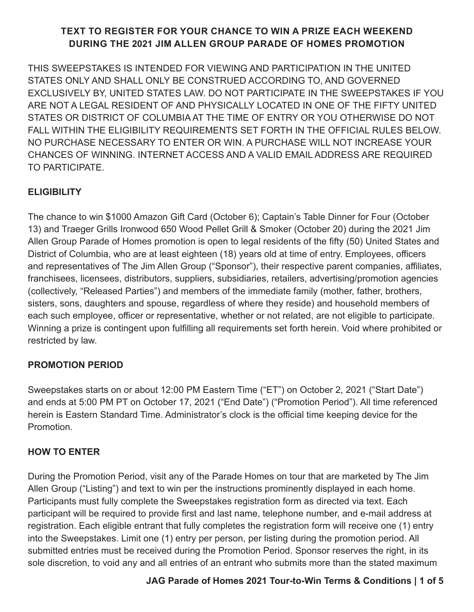# **TEXT TO REGISTER FOR YOUR CHANCE TO WIN A PRIZE EACH WEEKEND DURING THE 2021 JIM ALLEN GROUP PARADE OF HOMES PROMOTION**

THIS SWEEPSTAKES IS INTENDED FOR VIEWING AND PARTICIPATION IN THE UNITED STATES ONLY AND SHALL ONLY BE CONSTRUED ACCORDING TO, AND GOVERNED EXCLUSIVELY BY, UNITED STATES LAW. DO NOT PARTICIPATE IN THE SWEEPSTAKES IF YOU ARE NOT A LEGAL RESIDENT OF AND PHYSICALLY LOCATED IN ONE OF THE FIFTY UNITED STATES OR DISTRICT OF COLUMBIA AT THE TIME OF ENTRY OR YOU OTHERWISE DO NOT FALL WITHIN THE ELIGIBILITY REQUIREMENTS SET FORTH IN THE OFFICIAL RULES BELOW. NO PURCHASE NECESSARY TO ENTER OR WIN. A PURCHASE WILL NOT INCREASE YOUR CHANCES OF WINNING. INTERNET ACCESS AND A VALID EMAIL ADDRESS ARE REQUIRED TO PARTICIPATE.

# **ELIGIBILITY**

The chance to win \$1000 Amazon Gift Card (October 6); Captain's Table Dinner for Four (October 13) and Traeger Grills Ironwood 650 Wood Pellet Grill & Smoker (October 20) during the 2021 Jim Allen Group Parade of Homes promotion is open to legal residents of the fifty (50) United States and District of Columbia, who are at least eighteen (18) years old at time of entry. Employees, officers and representatives of The Jim Allen Group ("Sponsor"), their respective parent companies, affiliates, franchisees, licensees, distributors, suppliers, subsidiaries, retailers, advertising/promotion agencies (collectively, "Released Parties") and members of the immediate family (mother, father, brothers, sisters, sons, daughters and spouse, regardless of where they reside) and household members of each such employee, officer or representative, whether or not related, are not eligible to participate. Winning a prize is contingent upon fulfilling all requirements set forth herein. Void where prohibited or restricted by law.

# **PROMOTION PERIOD**

Sweepstakes starts on or about 12:00 PM Eastern Time ("ET") on October 2, 2021 ("Start Date") and ends at 5:00 PM PT on October 17, 2021 ("End Date") ("Promotion Period"). All time referenced herein is Eastern Standard Time. Administrator's clock is the official time keeping device for the Promotion.

# **HOW TO ENTER**

During the Promotion Period, visit any of the Parade Homes on tour that are marketed by The Jim Allen Group ("Listing") and text to win per the instructions prominently displayed in each home. Participants must fully complete the Sweepstakes registration form as directed via text. Each participant will be required to provide first and last name, telephone number, and e-mail address at registration. Each eligible entrant that fully completes the registration form will receive one (1) entry into the Sweepstakes. Limit one (1) entry per person, per listing during the promotion period. All submitted entries must be received during the Promotion Period. Sponsor reserves the right, in its sole discretion, to void any and all entries of an entrant who submits more than the stated maximum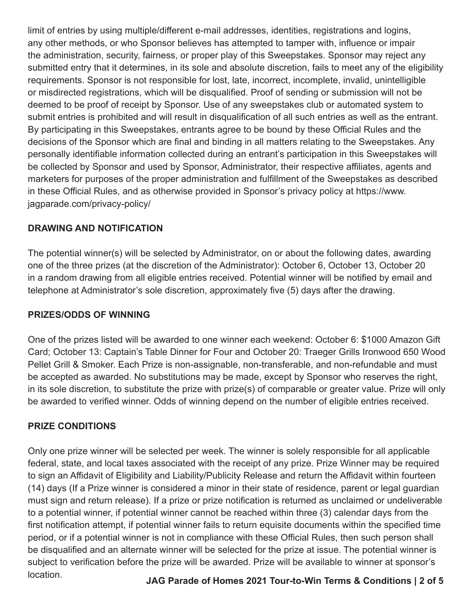limit of entries by using multiple/different e-mail addresses, identities, registrations and logins, any other methods, or who Sponsor believes has attempted to tamper with, influence or impair the administration, security, fairness, or proper play of this Sweepstakes. Sponsor may reject any submitted entry that it determines, in its sole and absolute discretion, fails to meet any of the eligibility requirements. Sponsor is not responsible for lost, late, incorrect, incomplete, invalid, unintelligible or misdirected registrations, which will be disqualified. Proof of sending or submission will not be deemed to be proof of receipt by Sponsor. Use of any sweepstakes club or automated system to submit entries is prohibited and will result in disqualification of all such entries as well as the entrant. By participating in this Sweepstakes, entrants agree to be bound by these Official Rules and the decisions of the Sponsor which are final and binding in all matters relating to the Sweepstakes. Any personally identifiable information collected during an entrant's participation in this Sweepstakes will be collected by Sponsor and used by Sponsor, Administrator, their respective affiliates, agents and marketers for purposes of the proper administration and fulfillment of the Sweepstakes as described in these Official Rules, and as otherwise provided in Sponsor's privacy policy at https://www. jagparade.com/privacy-policy/

## **DRAWING AND NOTIFICATION**

The potential winner(s) will be selected by Administrator, on or about the following dates, awarding one of the three prizes (at the discretion of the Administrator): October 6, October 13, October 20 in a random drawing from all eligible entries received. Potential winner will be notified by email and telephone at Administrator's sole discretion, approximately five (5) days after the drawing.

## **PRIZES/ODDS OF WINNING**

One of the prizes listed will be awarded to one winner each weekend: October 6: \$1000 Amazon Gift Card; October 13: Captain's Table Dinner for Four and October 20: Traeger Grills Ironwood 650 Wood Pellet Grill & Smoker. Each Prize is non-assignable, non-transferable, and non-refundable and must be accepted as awarded. No substitutions may be made, except by Sponsor who reserves the right, in its sole discretion, to substitute the prize with prize(s) of comparable or greater value. Prize will only be awarded to verified winner. Odds of winning depend on the number of eligible entries received.

## **PRIZE CONDITIONS**

Only one prize winner will be selected per week. The winner is solely responsible for all applicable federal, state, and local taxes associated with the receipt of any prize. Prize Winner may be required to sign an Affidavit of Eligibility and Liability/Publicity Release and return the Affidavit within fourteen (14) days (If a Prize winner is considered a minor in their state of residence, parent or legal guardian must sign and return release). If a prize or prize notification is returned as unclaimed or undeliverable to a potential winner, if potential winner cannot be reached within three (3) calendar days from the first notification attempt, if potential winner fails to return equisite documents within the specified time period, or if a potential winner is not in compliance with these Official Rules, then such person shall be disqualified and an alternate winner will be selected for the prize at issue. The potential winner is subject to verification before the prize will be awarded. Prize will be available to winner at sponsor's location. **JAG Parade of Homes 2021 Tour-to-Win Terms & Conditions | 2 of 5**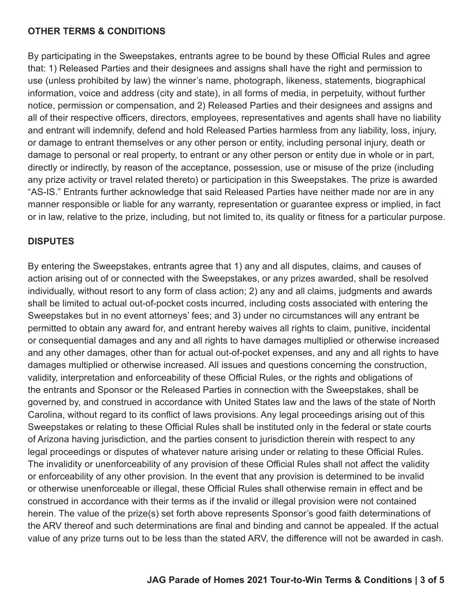### **OTHER TERMS & CONDITIONS**

By participating in the Sweepstakes, entrants agree to be bound by these Official Rules and agree that: 1) Released Parties and their designees and assigns shall have the right and permission to use (unless prohibited by law) the winner's name, photograph, likeness, statements, biographical information, voice and address (city and state), in all forms of media, in perpetuity, without further notice, permission or compensation, and 2) Released Parties and their designees and assigns and all of their respective officers, directors, employees, representatives and agents shall have no liability and entrant will indemnify, defend and hold Released Parties harmless from any liability, loss, injury, or damage to entrant themselves or any other person or entity, including personal injury, death or damage to personal or real property, to entrant or any other person or entity due in whole or in part, directly or indirectly, by reason of the acceptance, possession, use or misuse of the prize (including any prize activity or travel related thereto) or participation in this Sweepstakes. The prize is awarded "AS-IS." Entrants further acknowledge that said Released Parties have neither made nor are in any manner responsible or liable for any warranty, representation or guarantee express or implied, in fact or in law, relative to the prize, including, but not limited to, its quality or fitness for a particular purpose.

## **DISPUTES**

By entering the Sweepstakes, entrants agree that 1) any and all disputes, claims, and causes of action arising out of or connected with the Sweepstakes, or any prizes awarded, shall be resolved individually, without resort to any form of class action; 2) any and all claims, judgments and awards shall be limited to actual out-of-pocket costs incurred, including costs associated with entering the Sweepstakes but in no event attorneys' fees; and 3) under no circumstances will any entrant be permitted to obtain any award for, and entrant hereby waives all rights to claim, punitive, incidental or consequential damages and any and all rights to have damages multiplied or otherwise increased and any other damages, other than for actual out-of-pocket expenses, and any and all rights to have damages multiplied or otherwise increased. All issues and questions concerning the construction, validity, interpretation and enforceability of these Official Rules, or the rights and obligations of the entrants and Sponsor or the Released Parties in connection with the Sweepstakes, shall be governed by, and construed in accordance with United States law and the laws of the state of North Carolina, without regard to its conflict of laws provisions. Any legal proceedings arising out of this Sweepstakes or relating to these Official Rules shall be instituted only in the federal or state courts of Arizona having jurisdiction, and the parties consent to jurisdiction therein with respect to any legal proceedings or disputes of whatever nature arising under or relating to these Official Rules. The invalidity or unenforceability of any provision of these Official Rules shall not affect the validity or enforceability of any other provision. In the event that any provision is determined to be invalid or otherwise unenforceable or illegal, these Official Rules shall otherwise remain in effect and be construed in accordance with their terms as if the invalid or illegal provision were not contained herein. The value of the prize(s) set forth above represents Sponsor's good faith determinations of the ARV thereof and such determinations are final and binding and cannot be appealed. If the actual value of any prize turns out to be less than the stated ARV, the difference will not be awarded in cash.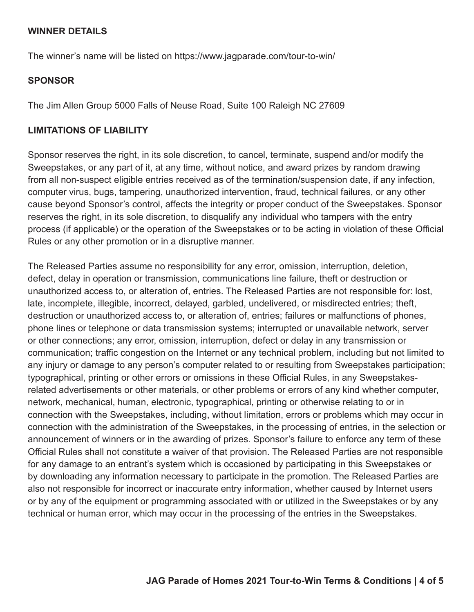### **WINNER DETAILS**

The winner's name will be listed on https://www.jagparade.com/tour-to-win/

### **SPONSOR**

The Jim Allen Group 5000 Falls of Neuse Road, Suite 100 Raleigh NC 27609

### **LIMITATIONS OF LIABILITY**

Sponsor reserves the right, in its sole discretion, to cancel, terminate, suspend and/or modify the Sweepstakes, or any part of it, at any time, without notice, and award prizes by random drawing from all non-suspect eligible entries received as of the termination/suspension date, if any infection, computer virus, bugs, tampering, unauthorized intervention, fraud, technical failures, or any other cause beyond Sponsor's control, affects the integrity or proper conduct of the Sweepstakes. Sponsor reserves the right, in its sole discretion, to disqualify any individual who tampers with the entry process (if applicable) or the operation of the Sweepstakes or to be acting in violation of these Official Rules or any other promotion or in a disruptive manner.

The Released Parties assume no responsibility for any error, omission, interruption, deletion, defect, delay in operation or transmission, communications line failure, theft or destruction or unauthorized access to, or alteration of, entries. The Released Parties are not responsible for: lost, late, incomplete, illegible, incorrect, delayed, garbled, undelivered, or misdirected entries; theft, destruction or unauthorized access to, or alteration of, entries; failures or malfunctions of phones, phone lines or telephone or data transmission systems; interrupted or unavailable network, server or other connections; any error, omission, interruption, defect or delay in any transmission or communication; traffic congestion on the Internet or any technical problem, including but not limited to any injury or damage to any person's computer related to or resulting from Sweepstakes participation; typographical, printing or other errors or omissions in these Official Rules, in any Sweepstakesrelated advertisements or other materials, or other problems or errors of any kind whether computer, network, mechanical, human, electronic, typographical, printing or otherwise relating to or in connection with the Sweepstakes, including, without limitation, errors or problems which may occur in connection with the administration of the Sweepstakes, in the processing of entries, in the selection or announcement of winners or in the awarding of prizes. Sponsor's failure to enforce any term of these Official Rules shall not constitute a waiver of that provision. The Released Parties are not responsible for any damage to an entrant's system which is occasioned by participating in this Sweepstakes or by downloading any information necessary to participate in the promotion. The Released Parties are also not responsible for incorrect or inaccurate entry information, whether caused by Internet users or by any of the equipment or programming associated with or utilized in the Sweepstakes or by any technical or human error, which may occur in the processing of the entries in the Sweepstakes.